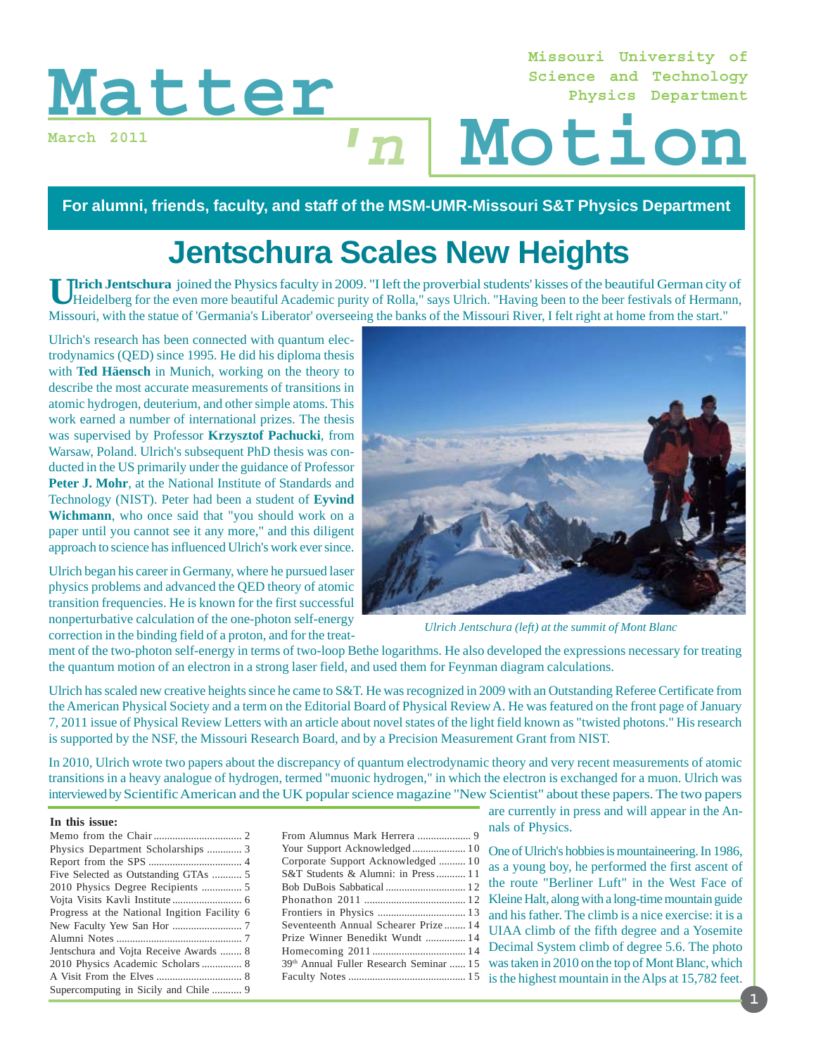# Matter Motion

**March 2011**

**Missouri University of Science and Technology Physics Department**

**For alumni, friends, faculty, and staff of the MSM-UMR-Missouri S&T Physics Department**

**'n**

# **Jentschura Scales New Heights**

**Ulrich Jentschura** joined the Physics faculty in 2009. "I left the proverbial students' kisses of the beautiful German city of Heidelberg for the even more beautiful Academic purity of Rolla," says Ulrich. "Having been to the beer festivals of Hermann, Missouri, with the statue of 'Germania's Liberator' overseeing the banks of the Missouri River, I felt right at home from the start."

Ulrich's research has been connected with quantum electrodynamics (QED) since 1995. He did his diploma thesis with **Ted Häensch** in Munich, working on the theory to describe the most accurate measurements of transitions in atomic hydrogen, deuterium, and other simple atoms. This work earned a number of international prizes. The thesis was supervised by Professor **Krzysztof Pachucki**, from Warsaw, Poland. Ulrich's subsequent PhD thesis was conducted in the US primarily under the guidance of Professor Peter J. Mohr, at the National Institute of Standards and Technology (NIST). Peter had been a student of **Eyvind Wichmann**, who once said that "you should work on a paper until you cannot see it any more," and this diligent approach to science has influenced Ulrich's work ever since.

Ulrich began his career in Germany, where he pursued laser physics problems and advanced the QED theory of atomic transition frequencies. He is known for the first successful nonperturbative calculation of the one-photon self-energy correction in the binding field of a proton, and for the treat-



*Ulrich Jentschura (left) at the summit of Mont Blanc*

ment of the two-photon self-energy in terms of two-loop Bethe logarithms. He also developed the expressions necessary for treating the quantum motion of an electron in a strong laser field, and used them for Feynman diagram calculations.

Ulrich has scaled new creative heights since he came to S&T. He was recognized in 2009 with an Outstanding Referee Certificate from the American Physical Society and a term on the Editorial Board of Physical Review A. He was featured on the front page of January 7, 2011 issue of Physical Review Letters with an article about novel states of the light field known as "twisted photons." His research is supported by the NSF, the Missouri Research Board, and by a Precision Measurement Grant from NIST.

In 2010, Ulrich wrote two papers about the discrepancy of quantum electrodynamic theory and very recent measurements of atomic transitions in a heavy analogue of hydrogen, termed "muonic hydrogen," in which the electron is exchanged for a muon. Ulrich was interviewed by Scientific American and the UK popular science magazine "New Scientist" about these papers. The two papers

### **In this issue:**

| Physics Department Scholarships  3           |
|----------------------------------------------|
|                                              |
| Five Selected as Outstanding GTAs  5         |
|                                              |
|                                              |
| Progress at the National Ingition Facility 6 |
|                                              |
|                                              |
| Jentschura and Vojta Receive Awards  8       |
| 2010 Physics Academic Scholars  8            |
|                                              |
| Supercomputing in Sicily and Chile  9        |

From Alumnus Mark Herrera .................... 9 Corporate Support Acknowledged .......... 1 0 S&T Students & Alumni: in Press ........... 1 1 Bob DuBois Sabbatical .............................. 1 2 Frontiers in Physics ................................. 1 3 Seventeenth Annual Schearer Prize ........ 14 Prize Winner Benedikt Wundt ............... 1 4 Homecoming 2011 ................................... 14 39th Annual Fuller Research Seminar ...... 1 5 Faculty Notes ............................................ 15

are currently in press and will appear in the Annals of Physics.

Your Support Acknowledged ....................... 10 One of Ulrich's hobbies is mountaineering. In 1986, Phonathon 2011 ...................................... 12 Kleine Halt, along with a long-time mountain guide as a young boy, he performed the first ascent of the route "Berliner Luft" in the West Face of and his father. The climb is a nice exercise: it is a UIAA climb of the fifth degree and a Yosemite Decimal System climb of degree 5.6. The photo was taken in 2010 on the top of Mont Blanc, which is the highest mountain in the Alps at 15,782 feet.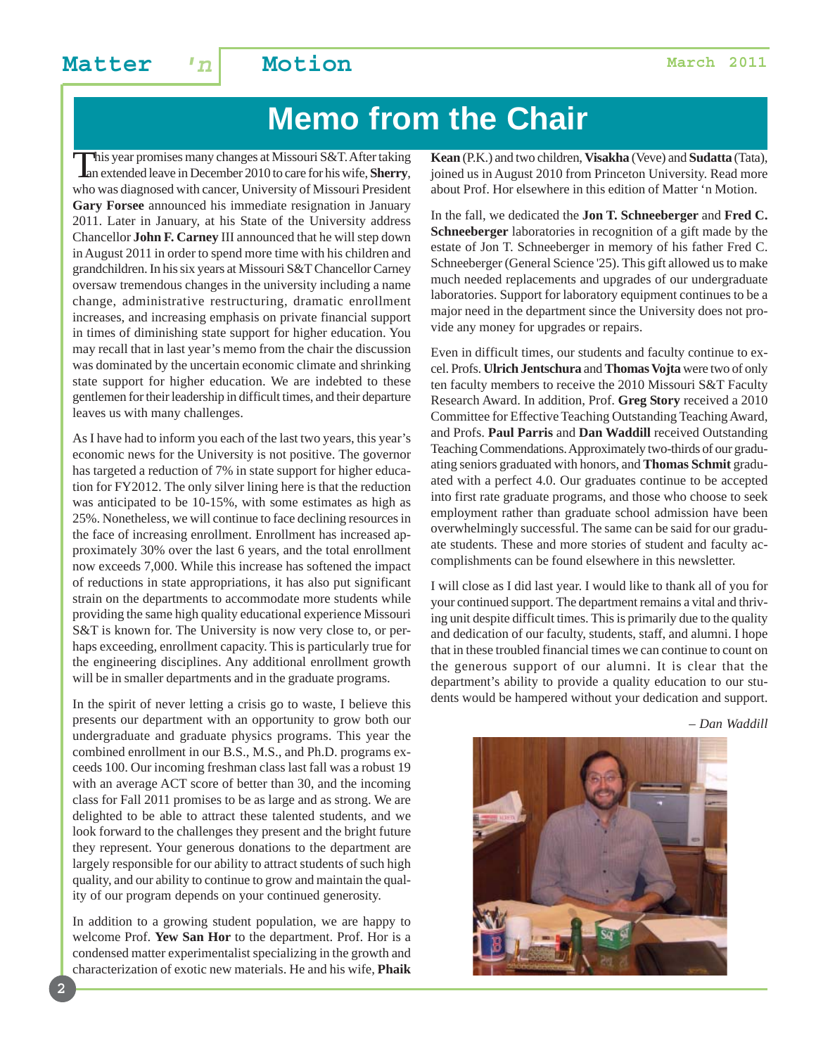### **Matter 'n Motion March 2011**

# **Memo from the Chair**

This year promises many changes at Missouri S&T. After taking<br>an extended leave in December 2010 to care for his wife, **Sherry**, who was diagnosed with cancer, University of Missouri President **Gary Forsee** announced his immediate resignation in January 2011. Later in January, at his State of the University address Chancellor **John F. Carney** III announced that he will step down in August 2011 in order to spend more time with his children and grandchildren. In his six years at Missouri S&T Chancellor Carney oversaw tremendous changes in the university including a name change, administrative restructuring, dramatic enrollment increases, and increasing emphasis on private financial support in times of diminishing state support for higher education. You may recall that in last year's memo from the chair the discussion was dominated by the uncertain economic climate and shrinking state support for higher education. We are indebted to these gentlemen for their leadership in difficult times, and their departure leaves us with many challenges.

As I have had to inform you each of the last two years, this year's economic news for the University is not positive. The governor has targeted a reduction of 7% in state support for higher education for FY2012. The only silver lining here is that the reduction was anticipated to be 10-15%, with some estimates as high as 25%. Nonetheless, we will continue to face declining resources in the face of increasing enrollment. Enrollment has increased approximately 30% over the last 6 years, and the total enrollment now exceeds 7,000. While this increase has softened the impact of reductions in state appropriations, it has also put significant strain on the departments to accommodate more students while providing the same high quality educational experience Missouri S&T is known for. The University is now very close to, or perhaps exceeding, enrollment capacity. This is particularly true for the engineering disciplines. Any additional enrollment growth will be in smaller departments and in the graduate programs.

In the spirit of never letting a crisis go to waste, I believe this presents our department with an opportunity to grow both our undergraduate and graduate physics programs. This year the combined enrollment in our B.S., M.S., and Ph.D. programs exceeds 100. Our incoming freshman class last fall was a robust 19 with an average ACT score of better than 30, and the incoming class for Fall 2011 promises to be as large and as strong. We are delighted to be able to attract these talented students, and we look forward to the challenges they present and the bright future they represent. Your generous donations to the department are largely responsible for our ability to attract students of such high quality, and our ability to continue to grow and maintain the quality of our program depends on your continued generosity.

In addition to a growing student population, we are happy to welcome Prof. **Yew San Hor** to the department. Prof. Hor is a condensed matter experimentalist specializing in the growth and characterization of exotic new materials. He and his wife, **Phaik** **Kean** (P.K.) and two children, **Visakha** (Veve) and **Sudatta** (Tata), joined us in August 2010 from Princeton University. Read more about Prof. Hor elsewhere in this edition of Matter 'n Motion.

In the fall, we dedicated the **Jon T. Schneeberger** and **Fred C. Schneeberger** laboratories in recognition of a gift made by the estate of Jon T. Schneeberger in memory of his father Fred C. Schneeberger (General Science '25). This gift allowed us to make much needed replacements and upgrades of our undergraduate laboratories. Support for laboratory equipment continues to be a major need in the department since the University does not provide any money for upgrades or repairs.

Even in difficult times, our students and faculty continue to excel. Profs. **Ulrich Jentschura** and **Thomas Vojta** were two of only ten faculty members to receive the 2010 Missouri S&T Faculty Research Award. In addition, Prof. **Greg Story** received a 2010 Committee for Effective Teaching Outstanding Teaching Award, and Profs. **Paul Parris** and **Dan Waddill** received Outstanding Teaching Commendations. Approximately two-thirds of our graduating seniors graduated with honors, and **Thomas Schmit** graduated with a perfect 4.0. Our graduates continue to be accepted into first rate graduate programs, and those who choose to seek employment rather than graduate school admission have been overwhelmingly successful. The same can be said for our graduate students. These and more stories of student and faculty accomplishments can be found elsewhere in this newsletter.

I will close as I did last year. I would like to thank all of you for your continued support. The department remains a vital and thriving unit despite difficult times. This is primarily due to the quality and dedication of our faculty, students, staff, and alumni. I hope that in these troubled financial times we can continue to count on the generous support of our alumni. It is clear that the department's ability to provide a quality education to our students would be hampered without your dedication and support.

*– Dan Waddill*

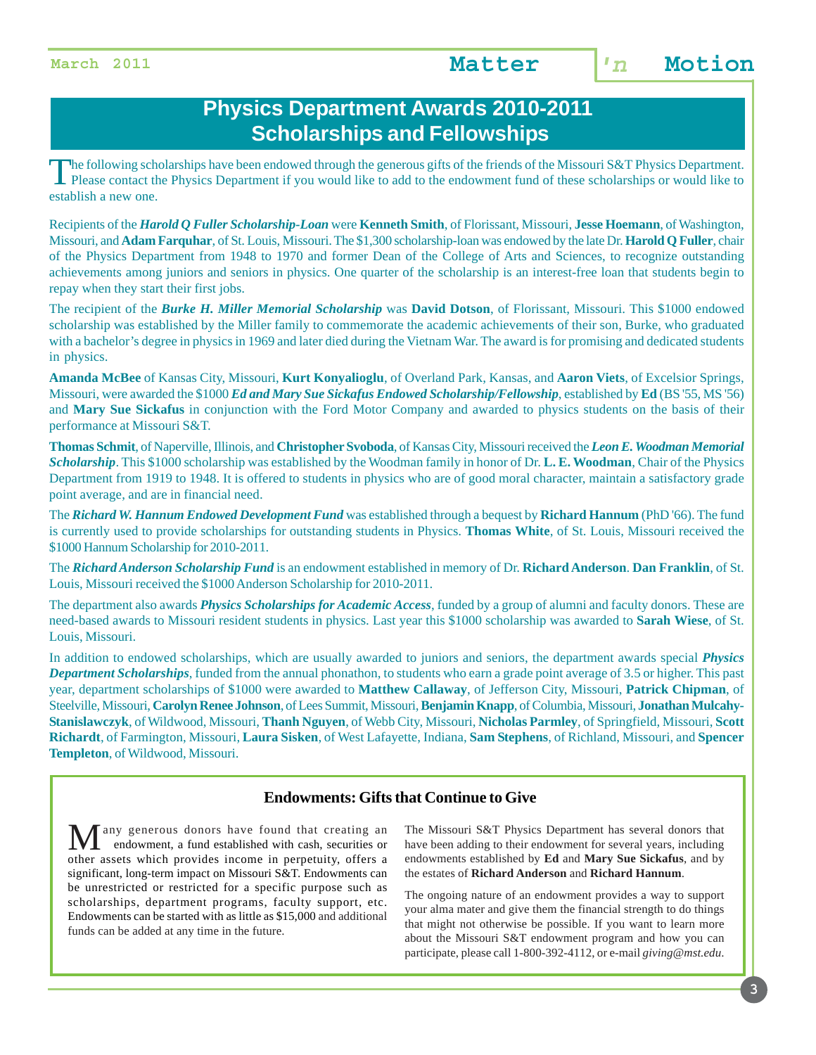### **Physics Department Awards 2010-2011 Scholarships and Fellowships**

The following scholarships have been endowed through the generous gifts of the friends of the Missouri S&T Physics Department.<br>Please contact the Physics Department if you would like to add to the endowment fund of these s establish a new one.

Recipients of the *Harold Q Fuller Scholarship-Loan* were **Kenneth Smith**, of Florissant, Missouri, **Jesse Hoemann**, of Washington, Missouri, and **Adam Farquhar**, of St. Louis, Missouri. The \$1,300 scholarship-loan was endowed by the late Dr. **Harold Q Fuller**, chair of the Physics Department from 1948 to 1970 and former Dean of the College of Arts and Sciences, to recognize outstanding achievements among juniors and seniors in physics. One quarter of the scholarship is an interest-free loan that students begin to repay when they start their first jobs.

The recipient of the *Burke H. Miller Memorial Scholarship* was **David Dotson**, of Florissant, Missouri. This \$1000 endowed scholarship was established by the Miller family to commemorate the academic achievements of their son, Burke, who graduated with a bachelor's degree in physics in 1969 and later died during the Vietnam War. The award is for promising and dedicated students in physics.

**Amanda McBee** of Kansas City, Missouri, **Kurt Konyalioglu**, of Overland Park, Kansas, and **Aaron Viets**, of Excelsior Springs, Missouri, were awarded the \$1000 *Ed and Mary Sue Sickafus Endowed Scholarship/Fellowship*, established by **Ed** (BS '55, MS '56) and **Mary Sue Sickafus** in conjunction with the Ford Motor Company and awarded to physics students on the basis of their performance at Missouri S&T.

**Thomas Schmit**, of Naperville, Illinois, and **Christopher Svoboda**, of Kansas City, Missouri received the *Leon E. Woodman Memorial Scholarship*. This \$1000 scholarship was established by the Woodman family in honor of Dr. **L. E. Woodman**, Chair of the Physics Department from 1919 to 1948. It is offered to students in physics who are of good moral character, maintain a satisfactory grade point average, and are in financial need.

The *Richard W. Hannum Endowed Development Fund* was established through a bequest by **Richard Hannum** (PhD '66). The fund is currently used to provide scholarships for outstanding students in Physics. **Thomas White**, of St. Louis, Missouri received the \$1000 Hannum Scholarship for 2010-2011.

The *Richard Anderson Scholarship Fund* is an endowment established in memory of Dr. **Richard Anderson**. **Dan Franklin**, of St. Louis, Missouri received the \$1000 Anderson Scholarship for 2010-2011.

The department also awards *Physics Scholarships for Academic Access*, funded by a group of alumni and faculty donors. These are need-based awards to Missouri resident students in physics. Last year this \$1000 scholarship was awarded to **Sarah Wiese**, of St. Louis, Missouri.

In addition to endowed scholarships, which are usually awarded to juniors and seniors, the department awards special *Physics Department Scholarships*, funded from the annual phonathon, to students who earn a grade point average of 3.5 or higher. This past year, department scholarships of \$1000 were awarded to **Matthew Callaway**, of Jefferson City, Missouri, **Patrick Chipman**, of Steelville, Missouri, **Carolyn Renee Johnson**, of Lees Summit, Missouri, **Benjamin Knapp**, of Columbia, Missouri, **Jonathan Mulcahy-Stanislawczyk**, of Wildwood, Missouri, **Thanh Nguyen**, of Webb City, Missouri, **Nicholas Parmley**, of Springfield, Missouri, **Scott Richardt**, of Farmington, Missouri, **Laura Sisken**, of West Lafayette, Indiana, **Sam Stephens**, of Richland, Missouri, and **Spencer Templeton**, of Wildwood, Missouri.

### **Endowments: Gifts that Continue to Give**

any generous donors have found that creating an endowment, a fund established with cash, securities or other assets which provides income in perpetuity, offers a significant, long-term impact on Missouri S&T. Endowments can be unrestricted or restricted for a specific purpose such as scholarships, department programs, faculty support, etc. Endowments can be started with as little as \$15,000 and additional funds can be added at any time in the future.

The Missouri S&T Physics Department has several donors that have been adding to their endowment for several years, including endowments established by **Ed** and **Mary Sue Sickafus**, and by the estates of **Richard Anderson** and **Richard Hannum**.

The ongoing nature of an endowment provides a way to support your alma mater and give them the financial strength to do things that might not otherwise be possible. If you want to learn more about the Missouri S&T endowment program and how you can participate, please call 1-800-392-4112, or e-mail *giving@mst.edu*.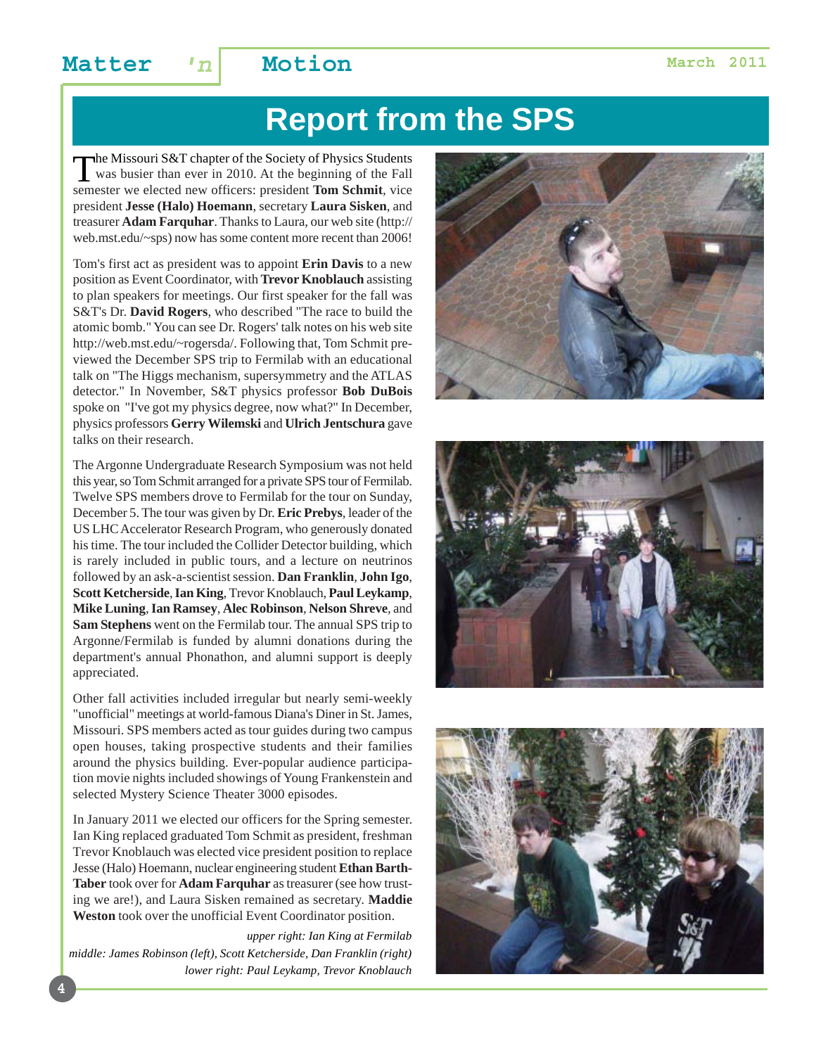### **Matter**  $n \mid$  **Motion Matter March 2011**

# **Report from the SPS**

The Missouri S&T chapter of the Society of Physics Students<br>was busier than ever in 2010. At the beginning of the Fall<br>semester we elected new officers: president Tom Schmit, vice semester we elected new officers: president **Tom Schmit**, vice president **Jesse (Halo) Hoemann**, secretary **Laura Sisken**, and treasurer **Adam Farquhar**. Thanks to Laura, our web site (http:// web.mst.edu/~sps) now has some content more recent than 2006!

Tom's first act as president was to appoint **Erin Davis** to a new position as Event Coordinator, with **Trevor Knoblauch** assisting to plan speakers for meetings. Our first speaker for the fall was S&T's Dr. **David Rogers**, who described "The race to build the atomic bomb." You can see Dr. Rogers' talk notes on his web site http://web.mst.edu/~rogersda/. Following that, Tom Schmit previewed the December SPS trip to Fermilab with an educational talk on "The Higgs mechanism, supersymmetry and the ATLAS detector." In November, S&T physics professor **Bob DuBois** spoke on "I've got my physics degree, now what?" In December, physics professors **Gerry Wilemski** and **Ulrich Jentschura** gave talks on their research.

The Argonne Undergraduate Research Symposium was not held this year, so Tom Schmit arranged for a private SPS tour of Fermilab. Twelve SPS members drove to Fermilab for the tour on Sunday, December 5. The tour was given by Dr. **Eric Prebys**, leader of the US LHC Accelerator Research Program, who generously donated his time. The tour included the Collider Detector building, which is rarely included in public tours, and a lecture on neutrinos followed by an ask-a-scientist session. **Dan Franklin**, **John Igo**, **Scott Ketcherside**, **Ian King**, Trevor Knoblauch, **Paul Leykamp**, **Mike Luning**, **Ian Ramsey**, **Alec Robinson**, **Nelson Shreve**, and **Sam Stephens** went on the Fermilab tour. The annual SPS trip to Argonne/Fermilab is funded by alumni donations during the department's annual Phonathon, and alumni support is deeply appreciated.

Other fall activities included irregular but nearly semi-weekly "unofficial" meetings at world-famous Diana's Diner in St. James, Missouri. SPS members acted as tour guides during two campus open houses, taking prospective students and their families around the physics building. Ever-popular audience participation movie nights included showings of Young Frankenstein and selected Mystery Science Theater 3000 episodes.

In January 2011 we elected our officers for the Spring semester. Ian King replaced graduated Tom Schmit as president, freshman Trevor Knoblauch was elected vice president position to replace Jesse (Halo) Hoemann, nuclear engineering student **Ethan Barth-Taber** took over for **Adam Farquhar** as treasurer (see how trusting we are!), and Laura Sisken remained as secretary. **Maddie Weston** took over the unofficial Event Coordinator position.

*upper right: Ian King at Fermilab middle: James Robinson (left), Scott Ketcherside, Dan Franklin (right) lower right: Paul Leykamp, Trevor Knoblauch*





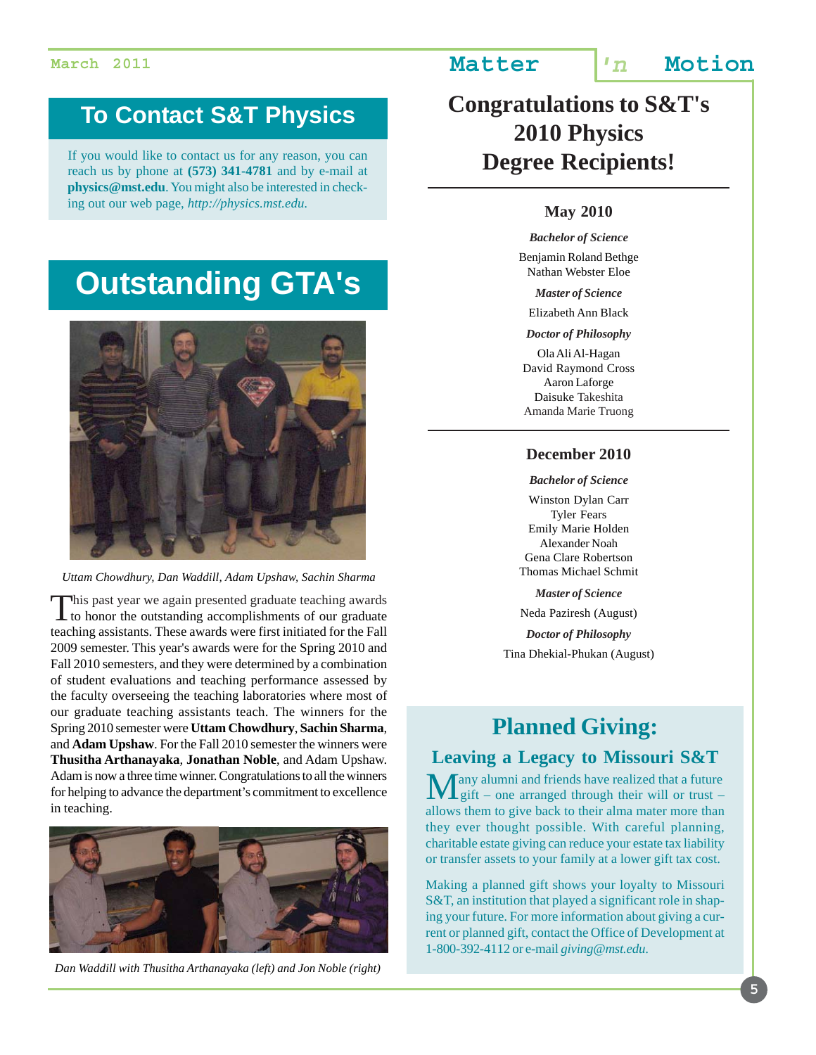### **To Contact S&T Physics**

If you would like to contact us for any reason, you can reach us by phone at **(573) 341-4781** and by e-mail at **physics@mst.edu**. You might also be interested in checking out our web page, *http://physics.mst.edu*.

# **Outstanding GTA's**



*Uttam Chowdhury, Dan Waddill, Adam Upshaw, Sachin Sharma*

This past year we again presented graduate teaching awards<br>to honor the outstanding accomplishments of our graduate teaching assistants. These awards were first initiated for the Fall 2009 semester. This year's awards were for the Spring 2010 and Fall 2010 semesters, and they were determined by a combination of student evaluations and teaching performance assessed by the faculty overseeing the teaching laboratories where most of our graduate teaching assistants teach. The winners for the Spring 2010 semester were **Uttam Chowdhury**, **Sachin Sharma**, and **Adam Upshaw**. For the Fall 2010 semester the winners were **Thusitha Arthanayaka**, **Jonathan Noble**, and Adam Upshaw. Adam is now a three time winner. Congratulations to all the winners for helping to advance the department's commitment to excellence in teaching.



*Dan Waddill with Thusitha Arthanayaka (left) and Jon Noble (right)*

### **Congratulations to S&T's 2010 Physics Degree Recipients!**

### **May 2010**

*Bachelor of Science* Benjamin Roland Bethge Nathan Webster Eloe

*Master of Science*

Elizabeth Ann Black

*Doctor of Philosophy*

Ola Ali Al-Hagan David Raymond Cross Aaron Laforge Daisuke Takeshita Amanda Marie Truong

### **December 2010**

*Bachelor of Science*

Winston Dylan Carr Tyler Fears Emily Marie Holden Alexander Noah Gena Clare Robertson Thomas Michael Schmit

*Master of Science*

Neda Paziresh (August)

*Doctor of Philosophy* Tina Dhekial-Phukan (August)

### **Planned Giving:**

### **Leaving a Legacy to Missouri S&T**

Tany alumni and friends have realized that a future Lgift – one arranged through their will or trust – allows them to give back to their alma mater more than they ever thought possible. With careful planning, charitable estate giving can reduce your estate tax liability or transfer assets to your family at a lower gift tax cost.

Making a planned gift shows your loyalty to Missouri S&T, an institution that played a significant role in shaping your future. For more information about giving a current or planned gift, contact the Office of Development at 1-800-392-4112 or e-mail *giving@mst.edu*.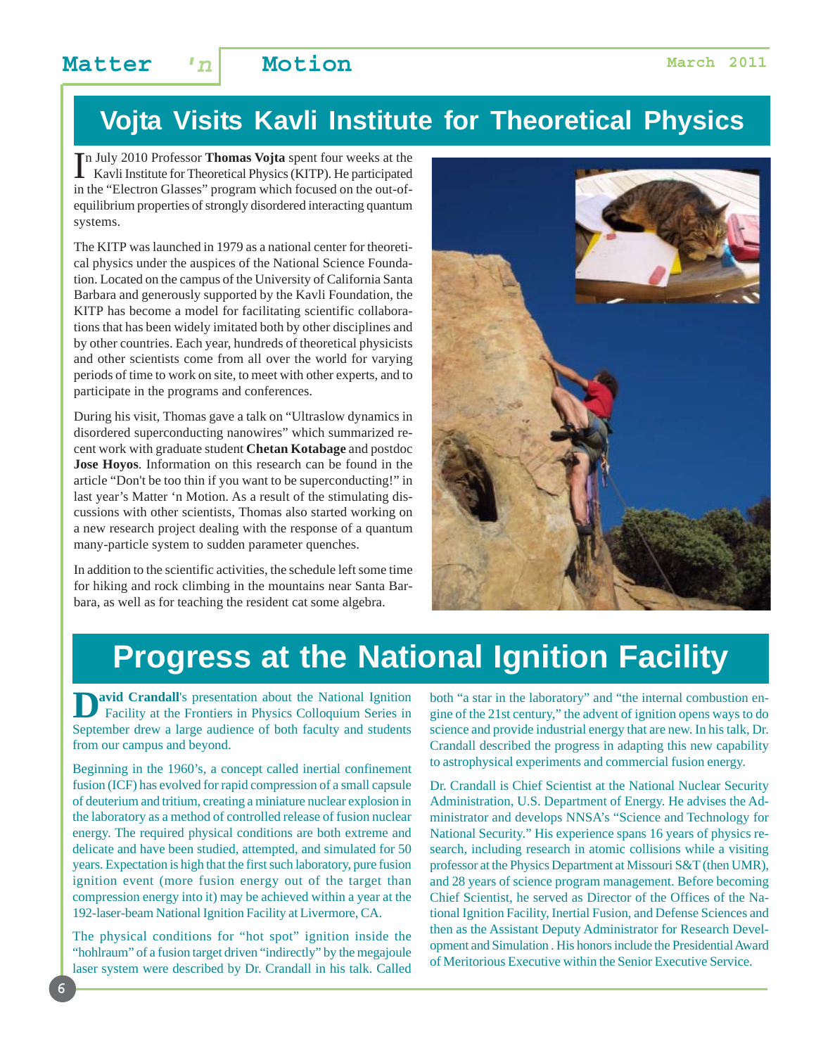### **Matter**  $n \mid$  **Motion Matter March 2011**

# **Vojta Visits Kavli Institute for Theoretical Physics**

In July 2010 Professor Thomas Vojta spent four weeks at the Kavli Institute for Theoretical Physics (KITP). He participated n July 2010 Professor **Thomas Vojta** spent four weeks at the in the "Electron Glasses" program which focused on the out-ofequilibrium properties of strongly disordered interacting quantum systems.

The KITP was launched in 1979 as a national center for theoretical physics under the auspices of the National Science Foundation. Located on the campus of the University of California Santa Barbara and generously supported by the Kavli Foundation, the KITP has become a model for facilitating scientific collaborations that has been widely imitated both by other disciplines and by other countries. Each year, hundreds of theoretical physicists and other scientists come from all over the world for varying periods of time to work on site, to meet with other experts, and to participate in the programs and conferences.

During his visit, Thomas gave a talk on "Ultraslow dynamics in disordered superconducting nanowires" which summarized recent work with graduate student **Chetan Kotabage** and postdoc **Jose Hoyos**. Information on this research can be found in the article "Don't be too thin if you want to be superconducting!" in last year's Matter 'n Motion. As a result of the stimulating discussions with other scientists, Thomas also started working on a new research project dealing with the response of a quantum many-particle system to sudden parameter quenches.

In addition to the scientific activities, the schedule left some time for hiking and rock climbing in the mountains near Santa Barbara, as well as for teaching the resident cat some algebra.



# **Progress at the National Ignition Facility**

**Avid Crandall's presentation about the National Ignition**  Facility at the Frontiers in Physics Colloquium Series in September drew a large audience of both faculty and students from our campus and beyond.

Beginning in the 1960's, a concept called inertial confinement fusion (ICF) has evolved for rapid compression of a small capsule of deuterium and tritium, creating a miniature nuclear explosion in the laboratory as a method of controlled release of fusion nuclear energy. The required physical conditions are both extreme and delicate and have been studied, attempted, and simulated for 50 years. Expectation is high that the first such laboratory, pure fusion ignition event (more fusion energy out of the target than compression energy into it) may be achieved within a year at the 192-laser-beam National Ignition Facility at Livermore, CA.

The physical conditions for "hot spot" ignition inside the "hohlraum" of a fusion target driven "indirectly" by the megajoule laser system were described by Dr. Crandall in his talk. Called both "a star in the laboratory" and "the internal combustion engine of the 21st century," the advent of ignition opens ways to do science and provide industrial energy that are new. In his talk, Dr. Crandall described the progress in adapting this new capability to astrophysical experiments and commercial fusion energy.

Dr. Crandall is Chief Scientist at the National Nuclear Security Administration, U.S. Department of Energy. He advises the Administrator and develops NNSA's "Science and Technology for National Security." His experience spans 16 years of physics research, including research in atomic collisions while a visiting professor at the Physics Department at Missouri S&T (then UMR), and 28 years of science program management. Before becoming Chief Scientist, he served as Director of the Offices of the National Ignition Facility, Inertial Fusion, and Defense Sciences and then as the Assistant Deputy Administrator for Research Development and Simulation . His honors include the Presidential Award of Meritorious Executive within the Senior Executive Service.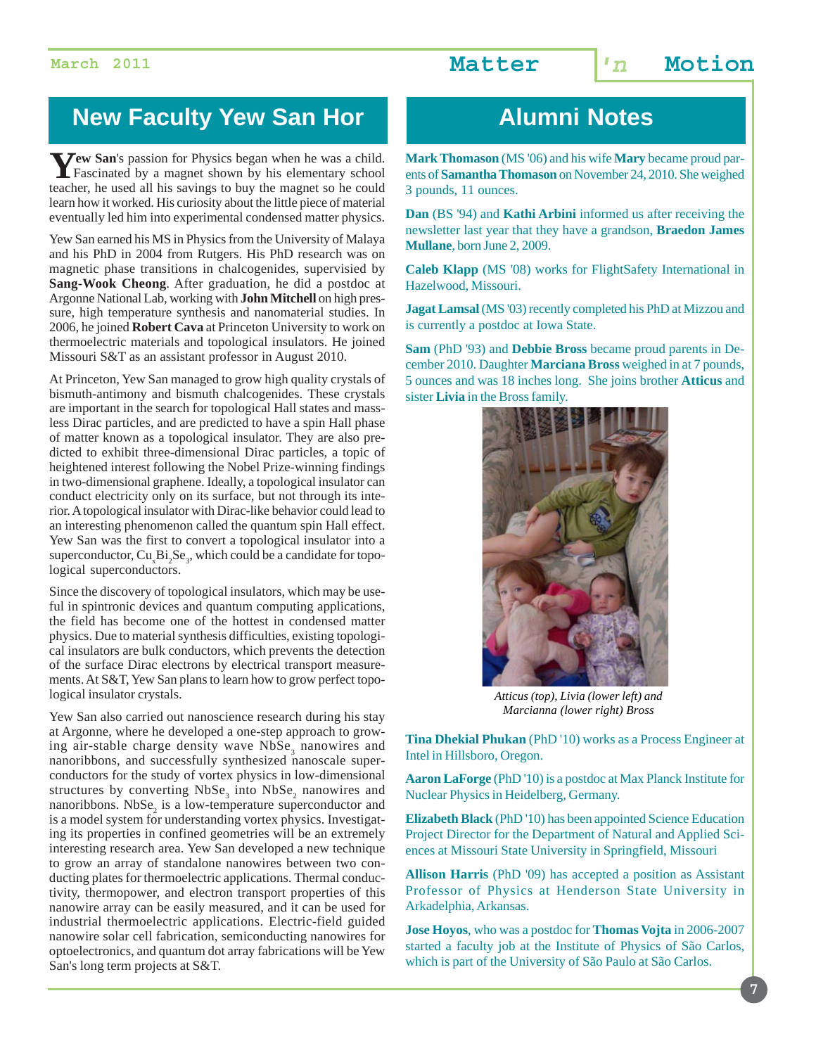### **New Faculty Yew San Hor Alumni Notes**

**Yew San**'s passion for Physics began when he was a child.<br>Fascinated by a magnet shown by his elementary school teacher, he used all his savings to buy the magnet so he could learn how it worked. His curiosity about the little piece of material eventually led him into experimental condensed matter physics.

Yew San earned his MS in Physics from the University of Malaya and his PhD in 2004 from Rutgers. His PhD research was on magnetic phase transitions in chalcogenides, supervisied by **Sang-Wook Cheong**. After graduation, he did a postdoc at Argonne National Lab, working with **John Mitchell** on high pressure, high temperature synthesis and nanomaterial studies. In 2006, he joined **Robert Cava** at Princeton University to work on thermoelectric materials and topological insulators. He joined Missouri S&T as an assistant professor in August 2010.

At Princeton, Yew San managed to grow high quality crystals of bismuth-antimony and bismuth chalcogenides. These crystals are important in the search for topological Hall states and massless Dirac particles, and are predicted to have a spin Hall phase of matter known as a topological insulator. They are also predicted to exhibit three-dimensional Dirac particles, a topic of heightened interest following the Nobel Prize-winning findings in two-dimensional graphene. Ideally, a topological insulator can conduct electricity only on its surface, but not through its interior. A topological insulator with Dirac-like behavior could lead to an interesting phenomenon called the quantum spin Hall effect. Yew San was the first to convert a topological insulator into a superconductor,  $Cu<sub>x</sub>Bi<sub>2</sub>Se<sub>3</sub>$ , which could be a candidate for topological superconductors.

Since the discovery of topological insulators, which may be useful in spintronic devices and quantum computing applications, the field has become one of the hottest in condensed matter physics. Due to material synthesis difficulties, existing topological insulators are bulk conductors, which prevents the detection of the surface Dirac electrons by electrical transport measurements. At S&T, Yew San plans to learn how to grow perfect topological insulator crystals.

Yew San also carried out nanoscience research during his stay at Argonne, where he developed a one-step approach to growing air-stable charge density wave  $NbSe<sub>3</sub>$  nanowires and nanoribbons, and successfully synthesized nanoscale superconductors for the study of vortex physics in low-dimensional structures by converting  $NbSe<sub>3</sub>$  into  $NbSe<sub>2</sub>$  nanowires and nanoribbons.  $NbSe<sub>2</sub>$  is a low-temperature superconductor and is a model system for understanding vortex physics. Investigating its properties in confined geometries will be an extremely interesting research area. Yew San developed a new technique to grow an array of standalone nanowires between two conducting plates for thermoelectric applications. Thermal conductivity, thermopower, and electron transport properties of this nanowire array can be easily measured, and it can be used for industrial thermoelectric applications. Electric-field guided nanowire solar cell fabrication, semiconducting nanowires for optoelectronics, and quantum dot array fabrications will be Yew San's long term projects at S&T.

**Mark Thomason** (MS '06) and his wife **Mary** became proud parents of **Samantha Thomason** on November 24, 2010. She weighed 3 pounds, 11 ounces.

**Dan** (BS '94) and **Kathi Arbini** informed us after receiving the newsletter last year that they have a grandson, **Braedon James Mullane**, born June 2, 2009.

**Caleb Klapp** (MS '08) works for FlightSafety International in Hazelwood, Missouri.

**Jagat Lamsal** (MS '03) recently completed his PhD at Mizzou and is currently a postdoc at Iowa State.

**Sam** (PhD '93) and **Debbie Bross** became proud parents in December 2010. Daughter **Marciana Bross** weighed in at 7 pounds, 5 ounces and was 18 inches long. She joins brother **Atticus** and sister **Livia** in the Bross family.



*Atticus (top), Livia (lower left) and Marcianna (lower right) Bross*

**Tina Dhekial Phukan** (PhD '10) works as a Process Engineer at Intel in Hillsboro, Oregon.

**Aaron LaForge** (PhD '10) is a postdoc at Max Planck Institute for Nuclear Physics in Heidelberg, Germany.

**Elizabeth Black** (PhD '10) has been appointed Science Education Project Director for the Department of Natural and Applied Sciences at Missouri State University in Springfield, Missouri

**Allison Harris** (PhD '09) has accepted a position as Assistant Professor of Physics at Henderson State University in Arkadelphia, Arkansas.

**Jose Hoyos**, who was a postdoc for **Thomas Vojta** in 2006-2007 started a faculty job at the Institute of Physics of São Carlos, which is part of the University of São Paulo at São Carlos.

**7**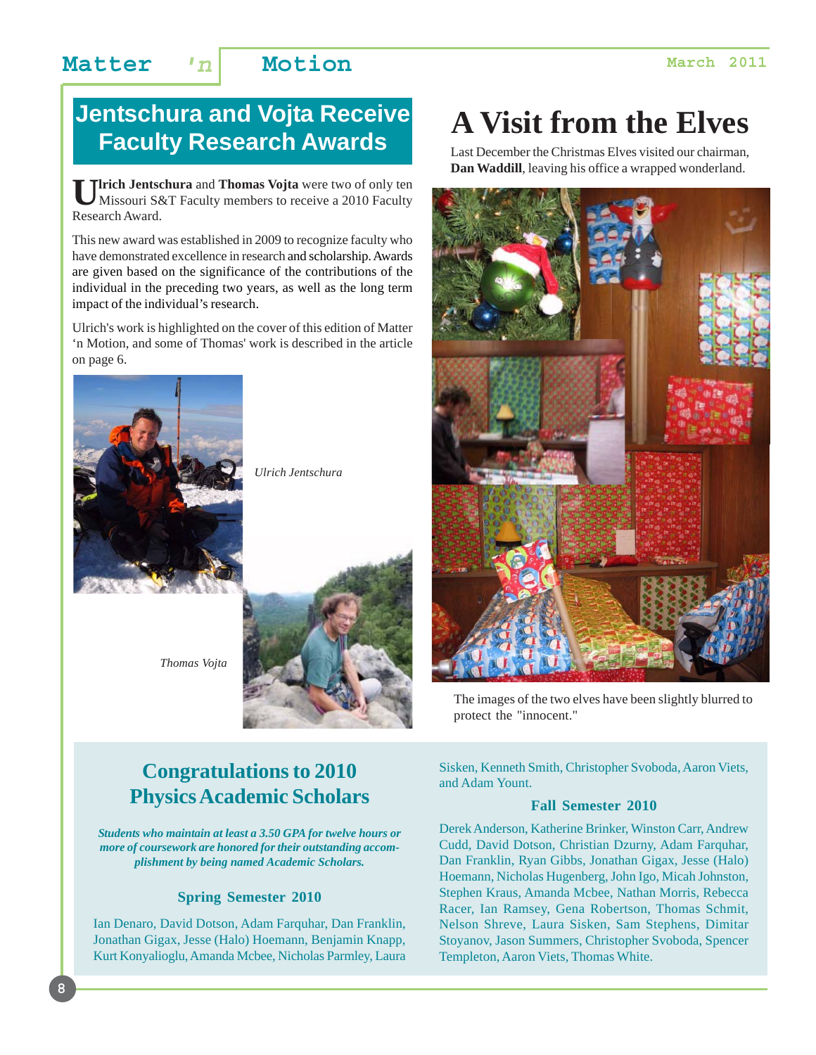### **Matter 'n Motion March 2011**

### **Jentschura and Vojta Receive Faculty Research Awards**

**Ulrich Jentschura** and **Thomas Vojta** were two of only ten Missouri S&T Faculty members to receive a 2010 Faculty Research Award.

This new award was established in 2009 to recognize faculty who have demonstrated excellence in research and scholarship. Awards are given based on the significance of the contributions of the individual in the preceding two years, as well as the long term impact of the individual's research.

Ulrich's work is highlighted on the cover of this edition of Matter 'n Motion, and some of Thomas' work is described in the article on page 6.



**8**

*Ulrich Jentschura*



*Thomas Vojta*

### **Congratulations to 2010 Physics Academic Scholars**

*Students who maintain at least a 3.50 GPA for twelve hours or more of coursework are honored for their outstanding accomplishment by being named Academic Scholars.*

### **Spring Semester 2010**

Ian Denaro, David Dotson, Adam Farquhar, Dan Franklin, Jonathan Gigax, Jesse (Halo) Hoemann, Benjamin Knapp, Kurt Konyalioglu, Amanda Mcbee, Nicholas Parmley, Laura

# **A Visit from the Elves**

Last December the Christmas Elves visited our chairman, **Dan Waddill**, leaving his office a wrapped wonderland.



The images of the two elves have been slightly blurred to protect the "innocent."

Sisken, Kenneth Smith, Christopher Svoboda, Aaron Viets, and Adam Yount.

### **Fall Semester 2010**

Derek Anderson, Katherine Brinker, Winston Carr, Andrew Cudd, David Dotson, Christian Dzurny, Adam Farquhar, Dan Franklin, Ryan Gibbs, Jonathan Gigax, Jesse (Halo) Hoemann, Nicholas Hugenberg, John Igo, Micah Johnston, Stephen Kraus, Amanda Mcbee, Nathan Morris, Rebecca Racer, Ian Ramsey, Gena Robertson, Thomas Schmit, Nelson Shreve, Laura Sisken, Sam Stephens, Dimitar Stoyanov, Jason Summers, Christopher Svoboda, Spencer Templeton, Aaron Viets, Thomas White.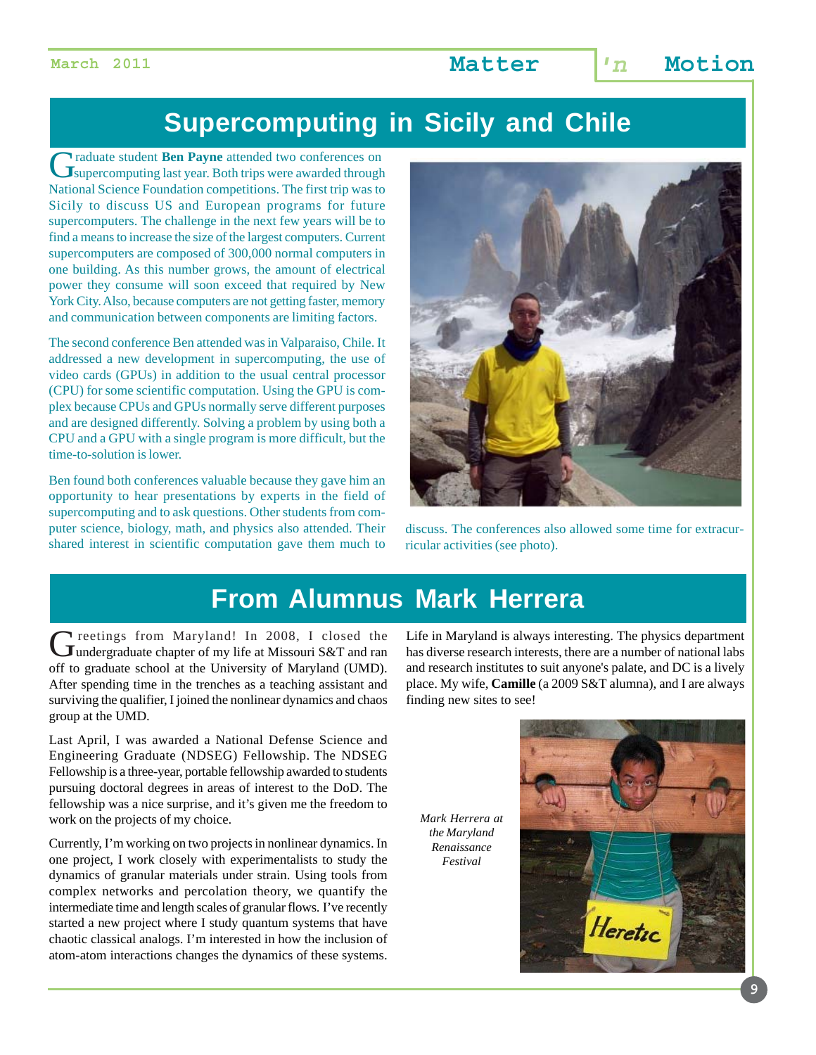# **Supercomputing in Sicily and Chile**

Graduate student **Ben Payne** attended two conferences on Supercomputing last year. Both trips were awarded through National Science Foundation competitions. The first trip was to Sicily to discuss US and European programs for future supercomputers. The challenge in the next few years will be to find a means to increase the size of the largest computers. Current supercomputers are composed of 300,000 normal computers in one building. As this number grows, the amount of electrical power they consume will soon exceed that required by New York City. Also, because computers are not getting faster, memory and communication between components are limiting factors.

The second conference Ben attended was in Valparaiso, Chile. It addressed a new development in supercomputing, the use of video cards (GPUs) in addition to the usual central processor (CPU) for some scientific computation. Using the GPU is complex because CPUs and GPUs normally serve different purposes and are designed differently. Solving a problem by using both a CPU and a GPU with a single program is more difficult, but the time-to-solution is lower.

Ben found both conferences valuable because they gave him an opportunity to hear presentations by experts in the field of supercomputing and to ask questions. Other students from computer science, biology, math, and physics also attended. Their shared interest in scientific computation gave them much to



discuss. The conferences also allowed some time for extracurricular activities (see photo).

# **From Alumnus Mark Herrera**

Greetings from Maryland! In 2008, I closed the<br>
undergraduate chapter of my life at Missouri S&T and ran off to graduate school at the University of Maryland (UMD). After spending time in the trenches as a teaching assistant and surviving the qualifier, I joined the nonlinear dynamics and chaos group at the UMD.

Last April, I was awarded a National Defense Science and Engineering Graduate (NDSEG) Fellowship. The NDSEG Fellowship is a three-year, portable fellowship awarded to students pursuing doctoral degrees in areas of interest to the DoD. The fellowship was a nice surprise, and it's given me the freedom to work on the projects of my choice.

Currently, I'm working on two projects in nonlinear dynamics. In one project, I work closely with experimentalists to study the dynamics of granular materials under strain. Using tools from complex networks and percolation theory, we quantify the intermediate time and length scales of granular flows. I've recently started a new project where I study quantum systems that have chaotic classical analogs. I'm interested in how the inclusion of atom-atom interactions changes the dynamics of these systems.

Life in Maryland is always interesting. The physics department has diverse research interests, there are a number of national labs and research institutes to suit anyone's palate, and DC is a lively place. My wife, **Camille** (a 2009 S&T alumna), and I are always finding new sites to see!

*Mark Herrera at the Maryland Renaissance Festival*

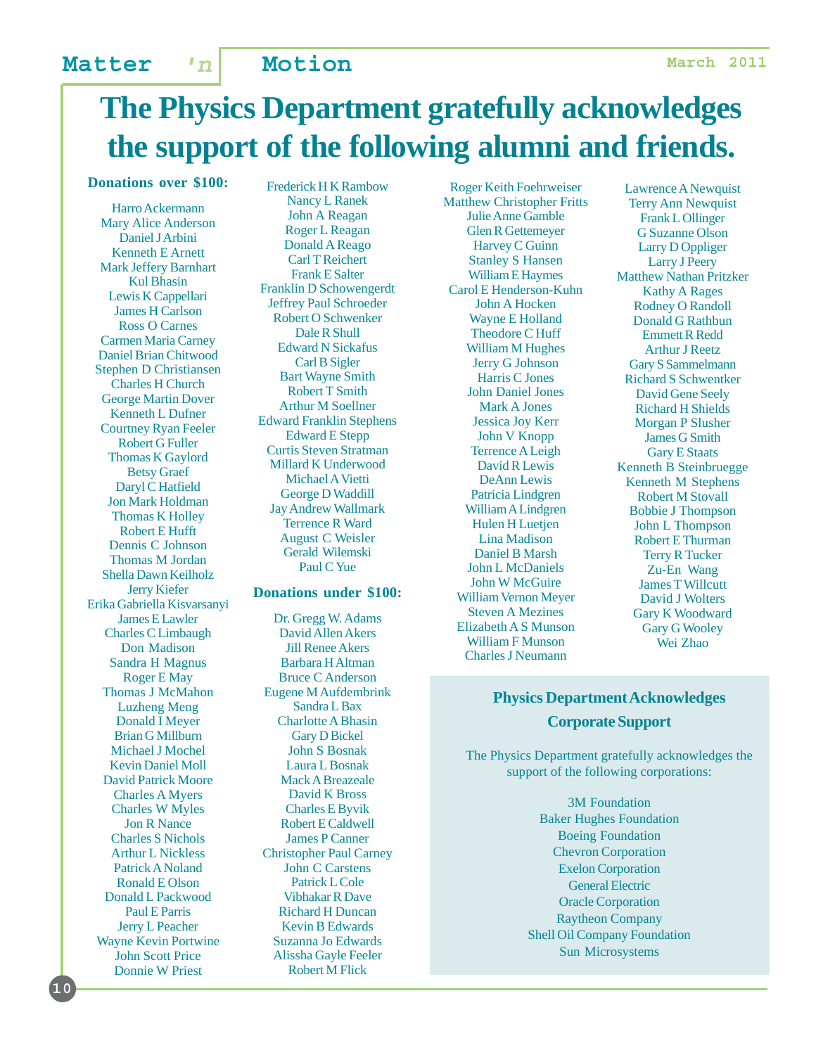# **The Physics Department gratefully acknowledges the support of the following alumni and friends.**

### **Donations over \$100:**

Harro Ackermann Mary Alice Anderson Daniel J Arbini Kenneth E Arnett Mark Jeffery Barnhart Kul Bhasin Lewis K Cappellari James H Carlson Ross O Carnes Carmen Maria Carney Daniel Brian Chitwood Stephen D Christiansen Charles H Church George Martin Dover Kenneth L Dufner Courtney Ryan Feeler Robert G Fuller Thomas K Gaylord Betsy Graef Daryl C Hatfield Jon Mark Holdman Thomas K Holley Robert E Hufft Dennis C Johnson Thomas M Jordan Shella Dawn Keilholz Jerry Kiefer Erika Gabriella Kisvarsanyi James E Lawler Charles C Limbaugh Don Madison Sandra H Magnus Roger E May Thomas J McMahon Luzheng Meng Donald I Meyer Brian G Millburn Michael J Mochel Kevin Daniel Moll David Patrick Moore Charles A Myers Charles W Myles Jon R Nance Charles S Nichols Arthur L Nickless Patrick A Noland Ronald E Olson Donald L Packwood Paul E Parris Jerry L Peacher Wayne Kevin Portwine John Scott Price Donnie W Priest

Frederick H K Rambow Nancy L Ranek John A Reagan Roger L Reagan Donald A Reago Carl T Reichert Frank E Salter Franklin D Schowengerdt Jeffrey Paul Schroeder Robert O Schwenker Dale R Shull Edward N Sickafus Carl B Sigler Bart Wayne Smith Robert T Smith Arthur M Soellner Edward Franklin Stephens Edward E Stepp Curtis Steven Stratman Millard K Underwood Michael A Vietti George D Waddill Jay Andrew Wallmark Terrence R Ward August C Weisler Gerald Wilemski Paul C Yue

### **Donations under \$100:**

Dr. Gregg W. Adams David Allen Akers Jill Renee Akers Barbara H Altman Bruce C Anderson Eugene M Aufdembrink Sandra L Bax Charlotte A Bhasin Gary D Bickel John S Bosnak Laura L Bosnak Mack A Breazeale David K Bross Charles E Byvik Robert E Caldwell James P Canner Christopher Paul Carney John C Carstens Patrick L Cole Vibhakar R Dave Richard H Duncan Kevin B Edwards Suzanna Jo Edwards Alissha Gayle Feeler Robert M Flick

Roger Keith Foehrweiser Matthew Christopher Fritts Julie Anne Gamble Glen R Gettemeyer Harvey C Guinn Stanley S Hansen William E Haymes Carol E Henderson-Kuhn John A Hocken Wayne E Holland Theodore C Huff William M Hughes Jerry G Johnson Harris C Jones John Daniel Jones Mark A Jones Jessica Joy Kerr John V Knopp Terrence A Leigh David R Lewis DeAnn Lewis Patricia Lindgren William A Lindgren Hulen H Luetjen Lina Madison Daniel B Marsh John L McDaniels John W McGuire William Vernon Meyer Steven A Mezines Elizabeth A S Munson William F Munson Charles J Neumann

Lawrence A Newquist Terry Ann Newquist Frank L Ollinger G Suzanne Olson Larry D Oppliger Larry J Peery Matthew Nathan Pritzker Kathy A Rages Rodney O Randoll Donald G Rathbun Emmett R Redd Arthur J Reetz Gary S Sammelmann Richard S Schwentker David Gene Seely Richard H Shields Morgan P Slusher James G Smith Gary E Staats Kenneth B Steinbruegge Kenneth M Stephens Robert M Stovall Bobbie J Thompson John L Thompson Robert E Thurman Terry R Tucker Zu-En Wang James T Willcutt David J Wolters Gary K Woodward Gary G Wooley Wei Zhao

### **Physics Department Acknowledges Corporate Support**

The Physics Department gratefully acknowledges the support of the following corporations:

> 3M Foundation Baker Hughes Foundation Boeing Foundation Chevron Corporation Exelon Corporation General Electric Oracle Corporation Raytheon Company Shell Oil Company Foundation Sun Microsystems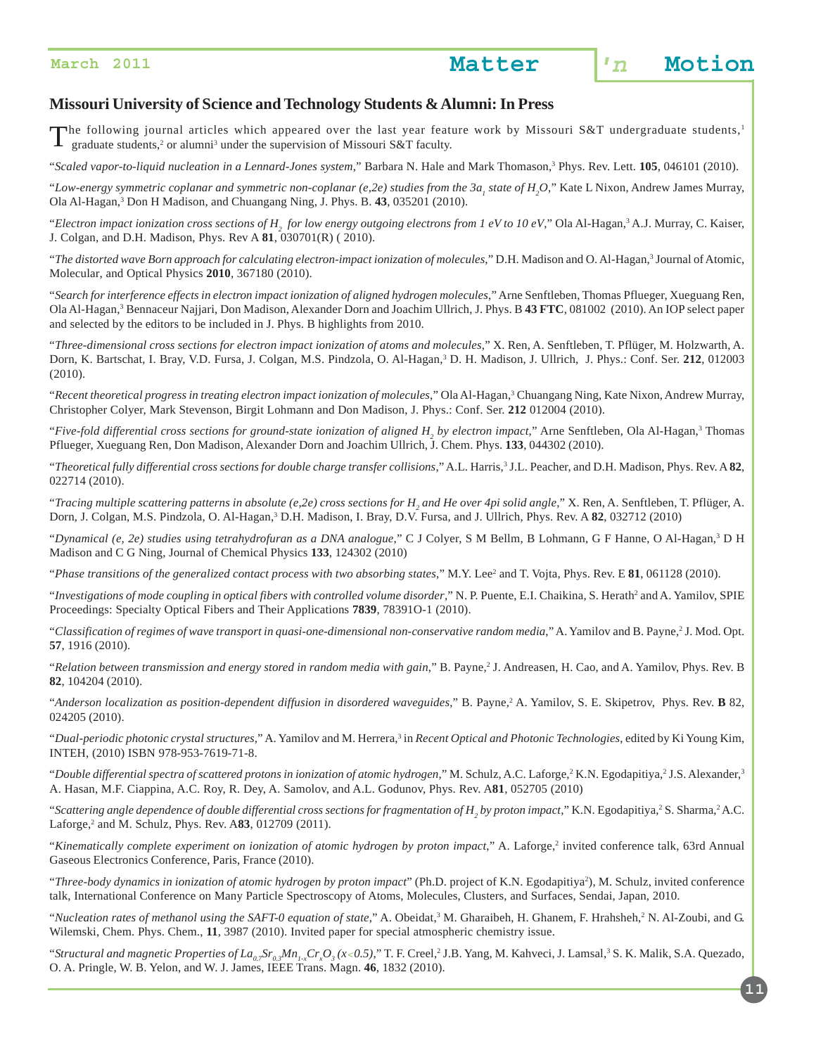

### **Missouri University of Science and Technology Students & Alumni: In Press**

The following journal articles which appeared over the last year feature work by Missouri S&T undergraduate students,<sup>1</sup>  $\blacksquare$  graduate students,<sup>2</sup> or alumni<sup>3</sup> under the supervision of Missouri S&T faculty.

"*Scaled vapor-to-liquid nucleation in a Lennard-Jones system*," Barbara N. Hale and Mark Thomason,3 Phys. Rev. Lett. **105**, 046101 (2010).

"Low-energy symmetric coplanar and symmetric non-coplanar (e,2e) studies from the 3a<sub>1</sub> state of H<sub>2</sub>O," Kate L Nixon, Andrew James Murray, Ola Al-Hagan,3 Don H Madison, and Chuangang Ning, J. Phys. B. **43**, 035201 (2010).

"Electron impact ionization cross sections of  $H_{_2}$  for low energy outgoing electrons from 1 eV to 10 eV," Ola Al-Hagan,<sup>3</sup> A.J. Murray, C. Kaiser, J. Colgan, and D.H. Madison, Phys. Rev A **81**, 030701(R) ( 2010).

"The distorted wave Born approach for calculating electron-impact ionization of molecules," D.H. Madison and O. Al-Hagan,<sup>3</sup> Journal of Atomic, Molecular, and Optical Physics **2010**, 367180 (2010).

"*Search for interference effects in electron impact ionization of aligned hydrogen molecules*," Arne Senftleben, Thomas Pflueger, Xueguang Ren, Ola Al-Hagan,<sup>3</sup> Bennaceur Najjari, Don Madison, Alexander Dorn and Joachim Ullrich, J. Phys. B 43 FTC, 081002 (2010). An IOP select paper and selected by the editors to be included in J. Phys. B highlights from 2010.

"*Three-dimensional cross sections for electron impact ionization of atoms and molecules*," X. Ren, A. Senftleben, T. Pflüger, M. Holzwarth, A. Dorn, K. Bartschat, I. Bray, V.D. Fursa, J. Colgan, M.S. Pindzola, O. Al-Hagan,3 D. H. Madison, J. Ullrich, J. Phys.: Conf. Ser. **212**, 012003 (2010).

"Recent theoretical progress in treating electron impact ionization of molecules," Ola Al-Hagan,<sup>3</sup> Chuangang Ning, Kate Nixon, Andrew Murray, Christopher Colyer, Mark Stevenson, Birgit Lohmann and Don Madison, J. Phys.: Conf. Ser. **212** 012004 (2010).

"Five-fold differential cross sections for ground-state ionization of aligned H<sub>2</sub> by electron impact," Arne Senftleben, Ola Al-Hagan,<sup>3</sup> Thomas Pflueger, Xueguang Ren, Don Madison, Alexander Dorn and Joachim Ullrich, J. Chem. Phys. **133**, 044302 (2010).

"*Theoretical fully differential cross sections for double charge transfer collisions*," A.L. Harris,3 J.L. Peacher, and D.H. Madison, Phys. Rev. A **82**, 022714 (2010).

"*Tracing multiple scattering patterns in absolute (e,2e) cross sections for H2 and He over 4pi solid angle,*" X. Ren, A. Senftleben, T. Pflüger, A. Dorn, J. Colgan, M.S. Pindzola, O. Al-Hagan,<sup>3</sup> D.H. Madison, I. Bray, D.V. Fursa, and J. Ullrich, Phys. Rev. A 82, 032712 (2010)

"*Dynamical (e, 2e) studies using tetrahydrofuran as a DNA analogue*," C J Colyer, S M Bellm, B Lohmann, G F Hanne, O Al-Hagan,3 D H Madison and C G Ning, Journal of Chemical Physics **133**, 124302 (2010)

"Phase transitions of the generalized contact process with two absorbing states," M.Y. Lee<sup>2</sup> and T. Vojta, Phys. Rev. E 81, 061128 (2010).

"Investigations of mode coupling in optical fibers with controlled volume disorder," N. P. Puente, E.I. Chaikina, S. Herath<sup>2</sup> and A. Yamilov, SPIE Proceedings: Specialty Optical Fibers and Their Applications **7839**, 78391O-1 (2010).

"Classification of regimes of wave transport in quasi-one-dimensional non-conservative random media," A. Yamilov and B. Payne,<sup>2</sup> J. Mod. Opt. **57**, 1916 (2010).

"*Relation between transmission and energy stored in random media with gain*," B. Payne,2 J. Andreasen, H. Cao, and A. Yamilov, Phys. Rev. B **82**, 104204 (2010).

"Anderson localization as position-dependent diffusion in disordered waveguides," B. Payne,<sup>2</sup> A. Yamilov, S. E. Skipetrov, Phys. Rev. **B** 82, 024205 (2010).

"Dual-periodic photonic crystal structures," A. Yamilov and M. Herrera,<sup>3</sup> in *Recent Optical and Photonic Technologies*, edited by Ki Young Kim, INTEH, (2010) ISBN 978-953-7619-71-8.

"Double differential spectra of scattered protons in ionization of atomic hydrogen," M. Schulz, A.C. Laforge,<sup>2</sup> K.N. Egodapitiya,<sup>2</sup> J.S. Alexander,<sup>3</sup> A. Hasan, M.F. Ciappina, A.C. Roy, R. Dey, A. Samolov, and A.L. Godunov, Phys. Rev. A**81**, 052705 (2010)

"Scattering angle dependence of double differential cross sections for fragmentation of H<sub>2</sub> by proton impact," K.N. Egodapitiya,<sup>2</sup> S. Sharma,<sup>2</sup> A.C. Laforge,<sup>2</sup> and M. Schulz, Phys. Rev. A83, 012709 (2011).

"Kinematically complete experiment on ionization of atomic hydrogen by proton impact," A. Laforge,<sup>2</sup> invited conference talk, 63rd Annual Gaseous Electronics Conference, Paris, France (2010).

"Three-body dynamics in ionization of atomic hydrogen by proton impact" (Ph.D. project of K.N. Egodapitiya<sup>2</sup>), M. Schulz, invited conference talk, International Conference on Many Particle Spectroscopy of Atoms, Molecules, Clusters, and Surfaces, Sendai, Japan, 2010.

"*Nucleation rates of methanol using the SAFT-0 equation of state*," A. Obeidat,<sup>3</sup> M. Gharaibeh, H. Ghanem, F. Hrahsheh,<sup>2</sup> N. Al-Zoubi, and G. Wilemski, Chem. Phys. Chem., **11**, 3987 (2010). Invited paper for special atmospheric chemistry issue.

"Structural and magnetic Properties of La<sub>0.7</sub>Sr<sub>0.3</sub>Mn<sub>1-x</sub>Cr<sub>x</sub>O<sub>3</sub>(x<0.5)," T. F. Creel,<sup>2</sup> J.B. Yang, M. Kahveci, J. Lamsal,<sup>3</sup> S. K. Malik, S.A. Quezado, O. A. Pringle, W. B. Yelon, and W. J. James, IEEE Trans. Magn. **46**, 1832 (2010).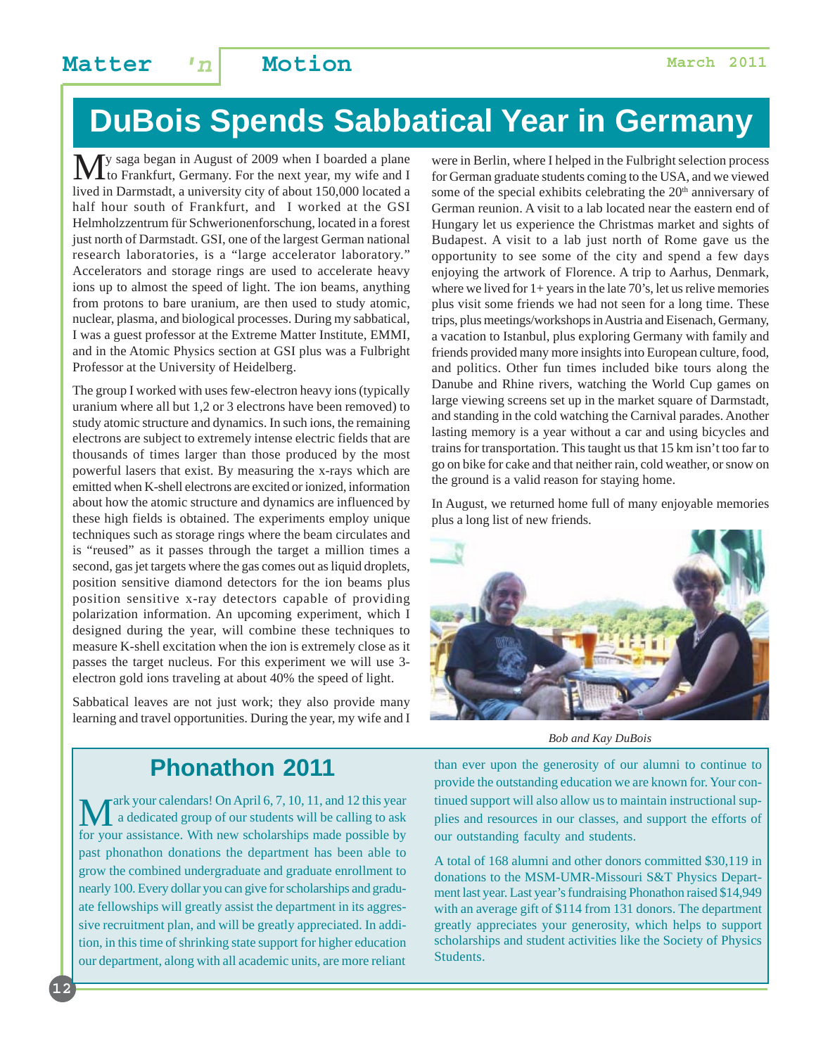# **DuBois Spends Sabbatical Year in Germany**

My saga began in August of 2009 when I boarded a plane<br>to Frankfurt, Germany. For the next year, my wife and I lived in Darmstadt, a university city of about 150,000 located a half hour south of Frankfurt, and I worked at the GSI Helmholzzentrum für Schwerionenforschung, located in a forest just north of Darmstadt. GSI, one of the largest German national research laboratories, is a "large accelerator laboratory." Accelerators and storage rings are used to accelerate heavy ions up to almost the speed of light. The ion beams, anything from protons to bare uranium, are then used to study atomic, nuclear, plasma, and biological processes. During my sabbatical, I was a guest professor at the Extreme Matter Institute, EMMI, and in the Atomic Physics section at GSI plus was a Fulbright Professor at the University of Heidelberg.

The group I worked with uses few-electron heavy ions (typically uranium where all but 1,2 or 3 electrons have been removed) to study atomic structure and dynamics. In such ions, the remaining electrons are subject to extremely intense electric fields that are thousands of times larger than those produced by the most powerful lasers that exist. By measuring the x-rays which are emitted when K-shell electrons are excited or ionized, information about how the atomic structure and dynamics are influenced by these high fields is obtained. The experiments employ unique techniques such as storage rings where the beam circulates and is "reused" as it passes through the target a million times a second, gas jet targets where the gas comes out as liquid droplets, position sensitive diamond detectors for the ion beams plus position sensitive x-ray detectors capable of providing polarization information. An upcoming experiment, which I designed during the year, will combine these techniques to measure K-shell excitation when the ion is extremely close as it passes the target nucleus. For this experiment we will use 3 electron gold ions traveling at about 40% the speed of light.

Sabbatical leaves are not just work; they also provide many learning and travel opportunities. During the year, my wife and I were in Berlin, where I helped in the Fulbright selection process for German graduate students coming to the USA, and we viewed some of the special exhibits celebrating the  $20<sup>th</sup>$  anniversary of German reunion. A visit to a lab located near the eastern end of Hungary let us experience the Christmas market and sights of Budapest. A visit to a lab just north of Rome gave us the opportunity to see some of the city and spend a few days enjoying the artwork of Florence. A trip to Aarhus, Denmark, where we lived for  $1+$  years in the late 70's, let us relive memories plus visit some friends we had not seen for a long time. These trips, plus meetings/workshops in Austria and Eisenach, Germany, a vacation to Istanbul, plus exploring Germany with family and friends provided many more insights into European culture, food, and politics. Other fun times included bike tours along the Danube and Rhine rivers, watching the World Cup games on large viewing screens set up in the market square of Darmstadt, and standing in the cold watching the Carnival parades. Another lasting memory is a year without a car and using bicycles and trains for transportation. This taught us that 15 km isn't too far to go on bike for cake and that neither rain, cold weather, or snow on the ground is a valid reason for staying home.

In August, we returned home full of many enjoyable memories plus a long list of new friends.



*Bob and Kay DuBois*

### **Phonathon 2011**

Mark your calendars! On April 6, 7, 10, 11, and 12 this year<br>a dedicated group of our students will be calling to ask<br>for your essistance. With now scholarships made possible by for your assistance. With new scholarships made possible by past phonathon donations the department has been able to grow the combined undergraduate and graduate enrollment to nearly 100. Every dollar you can give for scholarships and graduate fellowships will greatly assist the department in its aggressive recruitment plan, and will be greatly appreciated. In addition, in this time of shrinking state support for higher education our department, along with all academic units, are more reliant

than ever upon the generosity of our alumni to continue to provide the outstanding education we are known for. Your continued support will also allow us to maintain instructional supplies and resources in our classes, and support the efforts of our outstanding faculty and students.

A total of 168 alumni and other donors committed \$30,119 in donations to the MSM-UMR-Missouri S&T Physics Department last year. Last year's fundraising Phonathon raised \$14,949 with an average gift of \$114 from 131 donors. The department greatly appreciates your generosity, which helps to support scholarships and student activities like the Society of Physics Students.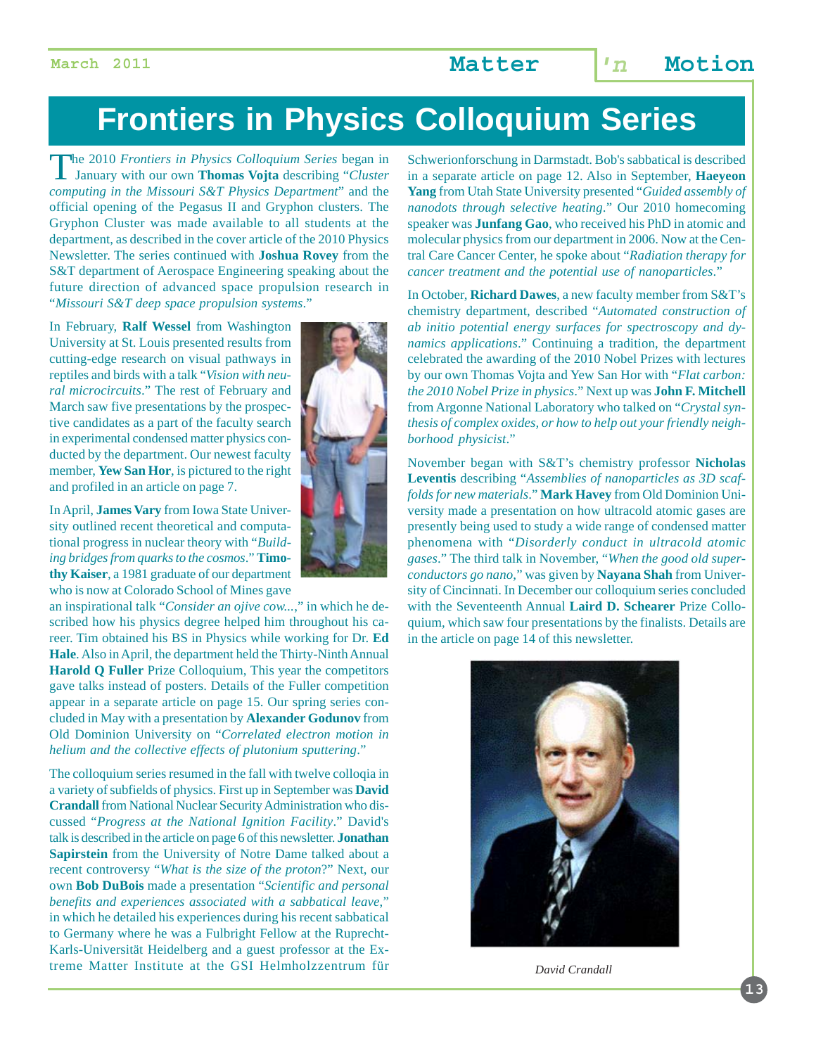# **Frontiers in Physics Colloquium Series**

The 2010 *Frontiers in Physics Colloquium Series* began in January with our own **Thomas Vojta** describing "*Cluster computing in the Missouri S&T Physics Department*" and the official opening of the Pegasus II and Gryphon clusters. The Gryphon Cluster was made available to all students at the department, as described in the cover article of the 2010 Physics Newsletter. The series continued with **Joshua Rovey** from the S&T department of Aerospace Engineering speaking about the future direction of advanced space propulsion research in "*Missouri S&T deep space propulsion systems*."

In February, **Ralf Wessel** from Washington University at St. Louis presented results from cutting-edge research on visual pathways in reptiles and birds with a talk "*Vision with neural microcircuits*." The rest of February and March saw five presentations by the prospective candidates as a part of the faculty search in experimental condensed matter physics conducted by the department. Our newest faculty member, **Yew San Hor**, is pictured to the right and profiled in an article on page 7.

In April, **James Vary** from Iowa State University outlined recent theoretical and computational progress in nuclear theory with "*Building bridges from quarks to the cosmos*." **Timothy Kaiser**, a 1981 graduate of our department who is now at Colorado School of Mines gave

an inspirational talk "*Consider an ojive cow...*," in which he described how his physics degree helped him throughout his career. Tim obtained his BS in Physics while working for Dr. **Ed Hale**. Also in April, the department held the Thirty-Ninth Annual **Harold Q Fuller** Prize Colloquium, This year the competitors gave talks instead of posters. Details of the Fuller competition appear in a separate article on page 15. Our spring series concluded in May with a presentation by **Alexander Godunov** from Old Dominion University on "*Correlated electron motion in helium and the collective effects of plutonium sputtering*."

The colloquium series resumed in the fall with twelve colloqia in a variety of subfields of physics. First up in September was **David Crandall** from National Nuclear Security Administration who discussed "*Progress at the National Ignition Facility*." David's talk is described in the article on page 6 of this newsletter. **Jonathan Sapirstein** from the University of Notre Dame talked about a recent controversy "*What is the size of the proton*?" Next, our own **Bob DuBois** made a presentation "*Scientific and personal benefits and experiences associated with a sabbatical leave*," in which he detailed his experiences during his recent sabbatical to Germany where he was a Fulbright Fellow at the Ruprecht-Karls-Universität Heidelberg and a guest professor at the Extreme Matter Institute at the GSI Helmholzzentrum für



Schwerionforschung in Darmstadt. Bob's sabbatical is described in a separate article on page 12. Also in September, **Haeyeon Yang** from Utah State University presented "*Guided assembly of nanodots through selective heating*." Our 2010 homecoming speaker was **Junfang Gao**, who received his PhD in atomic and molecular physics from our department in 2006. Now at the Central Care Cancer Center, he spoke about "*Radiation therapy for cancer treatment and the potential use of nanoparticles*."

In October, **Richard Dawes**, a new faculty member from S&T's chemistry department, described "*Automated construction of ab initio potential energy surfaces for spectroscopy and dynamics applications*." Continuing a tradition, the department celebrated the awarding of the 2010 Nobel Prizes with lectures by our own Thomas Vojta and Yew San Hor with "*Flat carbon: the 2010 Nobel Prize in physics*." Next up was **John F. Mitchell** from Argonne National Laboratory who talked on "*Crystal synthesis of complex oxides, or how to help out your friendly neighborhood physicist*."

November began with S&T's chemistry professor **Nicholas Leventis** describing "*Assemblies of nanoparticles as 3D scaffolds for new materials*." **Mark Havey** from Old Dominion University made a presentation on how ultracold atomic gases are presently being used to study a wide range of condensed matter phenomena with "*Disorderly conduct in ultracold atomic gases*." The third talk in November, "*When the good old superconductors go nano*," was given by **Nayana Shah** from University of Cincinnati. In December our colloquium series concluded with the Seventeenth Annual **Laird D. Schearer** Prize Colloquium, which saw four presentations by the finalists. Details are in the article on page 14 of this newsletter.



*David Crandall*

**13**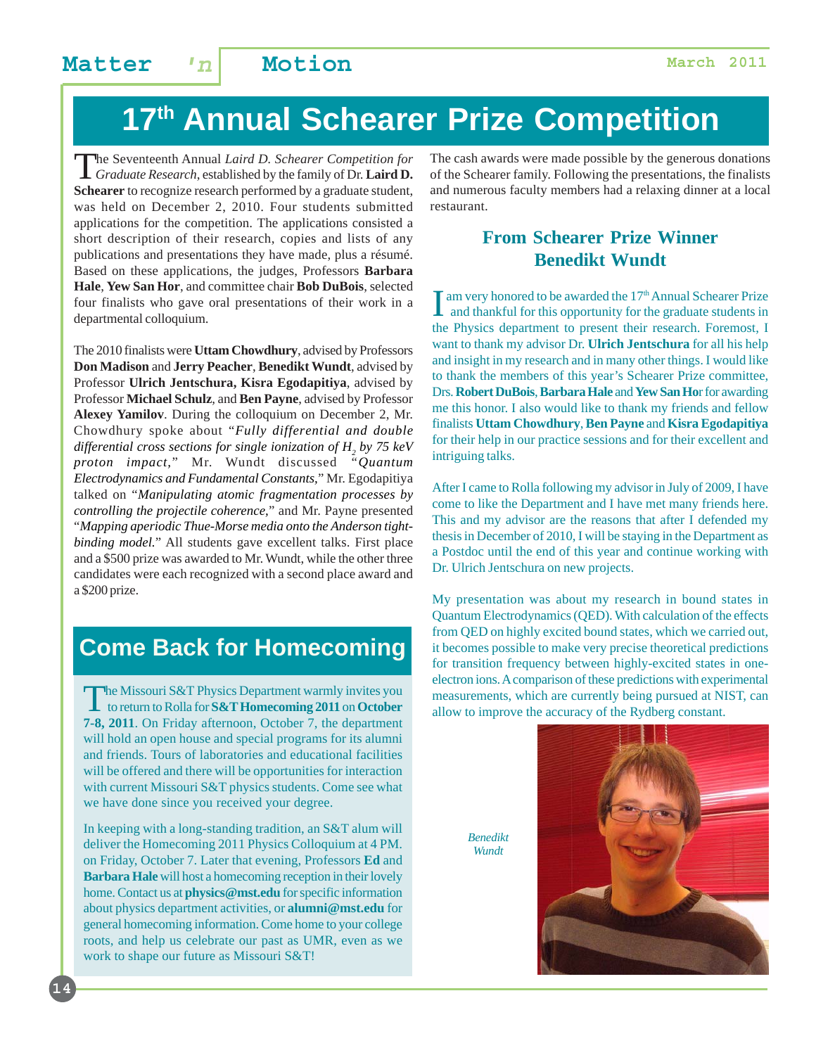### **Matter 'n Motion March 2011**

# **17th Annual Schearer Prize Competition**

The Seventeenth Annual *Laird D. Schearer Competition for Graduate Research*, established by the family of Dr. **Laird D. Schearer** to recognize research performed by a graduate student, was held on December 2, 2010. Four students submitted applications for the competition. The applications consisted a short description of their research, copies and lists of any publications and presentations they have made, plus a résumé. Based on these applications, the judges, Professors **Barbara Hale**, **Yew San Hor**, and committee chair **Bob DuBois**, selected four finalists who gave oral presentations of their work in a departmental colloquium.

The 2010 finalists were **Uttam Chowdhury**, advised by Professors **Don Madison** and **Jerry Peacher**, **Benedikt Wundt**, advised by Professor **Ulrich Jentschura, Kisra Egodapitiya**, advised by Professor **Michael Schulz**, and **Ben Payne**, advised by Professor **Alexey Yamilov**. During the colloquium on December 2, Mr. Chowdhury spoke about "*Fully differential and double differential cross sections for single ionization of H2 by 75 keV proton impact,*" Mr. Wundt discussed *"Quantum Electrodynamics and Fundamental Constants,*" Mr. Egodapitiya talked on "*Manipulating atomic fragmentation processes by controlling the projectile coherence,*" and Mr. Payne presented "*Mapping aperiodic Thue-Morse media onto the Anderson tightbinding model.*" All students gave excellent talks. First place and a \$500 prize was awarded to Mr. Wundt, while the other three candidates were each recognized with a second place award and a \$200 prize.

### **Come Back for Homecoming**

The Missouri S&T Physics Department warmly invites you to return to Rolla for **S&T Homecoming 2011** on **October 7-8, 2011**. On Friday afternoon, October 7, the department will hold an open house and special programs for its alumni and friends. Tours of laboratories and educational facilities will be offered and there will be opportunities for interaction with current Missouri S&T physics students. Come see what we have done since you received your degree.

In keeping with a long-standing tradition, an S&T alum will deliver the Homecoming 2011 Physics Colloquium at 4 PM. on Friday, October 7. Later that evening, Professors **Ed** and **Barbara Hale** will host a homecoming reception in their lovely home. Contact us at **physics@mst.edu** for specific information about physics department activities, or **alumni@mst.edu** for general homecoming information. Come home to your college roots, and help us celebrate our past as UMR, even as we work to shape our future as Missouri S&T!

The cash awards were made possible by the generous donations of the Schearer family. Following the presentations, the finalists and numerous faculty members had a relaxing dinner at a local restaurant.

### **From Schearer Prize Winner Benedikt Wundt**

 $\prod$  am very honored to be awarded the  $17<sup>th</sup>$  Annual Schearer Prize and thankful for this opportunity for the graduate students in Tam very honored to be awarded the 17<sup>th</sup> Annual Schearer Prize the Physics department to present their research. Foremost, I want to thank my advisor Dr. **Ulrich Jentschura** for all his help and insight in my research and in many other things. I would like to thank the members of this year's Schearer Prize committee, Drs. **Robert DuBois**, **Barbara Hale** and **Yew San Ho**r for awarding me this honor. I also would like to thank my friends and fellow finalists **Uttam Chowdhury**, **Ben Payne** and **Kisra Egodapitiya** for their help in our practice sessions and for their excellent and intriguing talks.

After I came to Rolla following my advisor in July of 2009, I have come to like the Department and I have met many friends here. This and my advisor are the reasons that after I defended my thesis in December of 2010, I will be staying in the Department as a Postdoc until the end of this year and continue working with Dr. Ulrich Jentschura on new projects.

My presentation was about my research in bound states in Quantum Electrodynamics (QED). With calculation of the effects from QED on highly excited bound states, which we carried out, it becomes possible to make very precise theoretical predictions for transition frequency between highly-excited states in oneelectron ions. A comparison of these predictions with experimental measurements, which are currently being pursued at NIST, can allow to improve the accuracy of the Rydberg constant.

> *Benedikt Wundt*

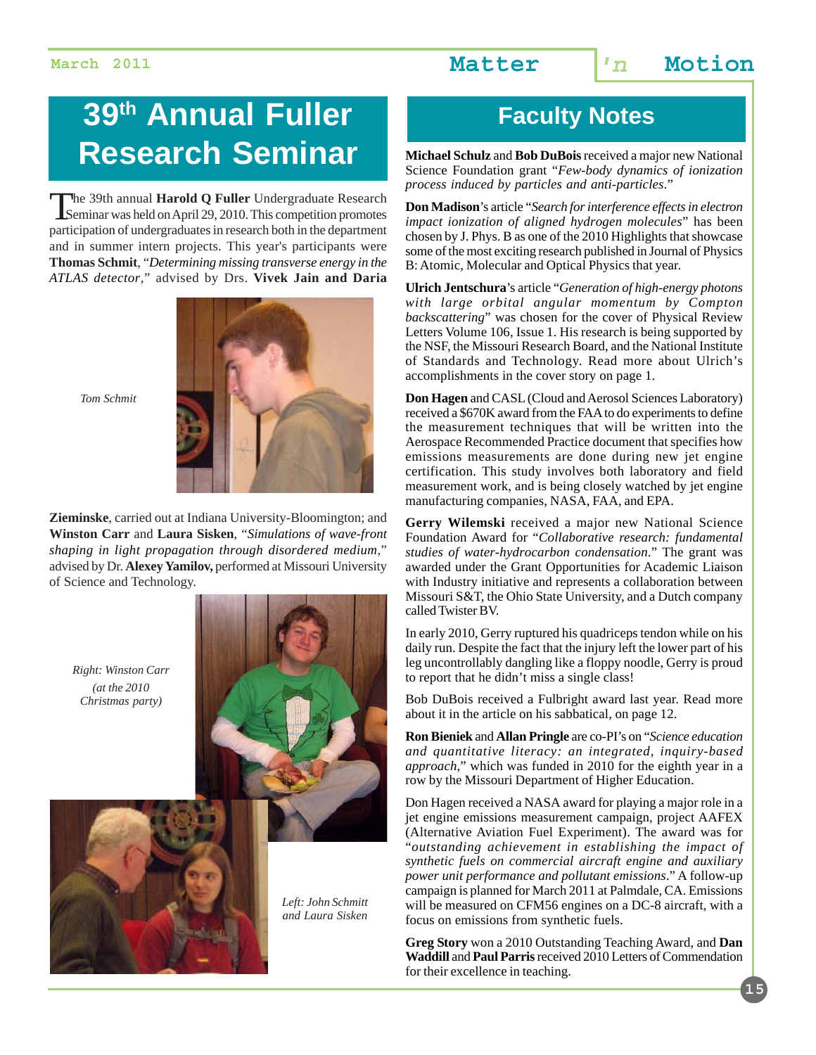# **39<sup>th</sup> Annual Fuller Faculty Notes Research Seminar**

The 39th annual **Harold Q Fuller** Undergraduate Research Seminar was held on April 29, 2010. This competition promotes participation of undergraduates in research both in the department and in summer intern projects. This year's participants were **Thomas Schmit**, "*Determining missing transverse energy in the ATLAS detector*," advised by Drs. **Vivek Jain and Daria**



*Tom Schmit*

**Zieminske**, carried out at Indiana University-Bloomington; and **Winston Carr** and **Laura Sisken**, "*Simulations of wave-front shaping in light propagation through disordered medium*," advised by Dr. **Alexey Yamilov,** performed at Missouri University of Science and Technology.

*Right: Winston Carr (at the 2010 Christmas party)*





*Left: John Schmitt and Laura Sisken*

**Michael Schulz** and **Bob DuBois** received a major new National Science Foundation grant "*Few-body dynamics of ionization process induced by particles and anti-particles*."

**Don Madison**'s article "*Search for interference effects in electron impact ionization of aligned hydrogen molecules*" has been chosen by J. Phys. B as one of the 2010 Highlights that showcase some of the most exciting research published in Journal of Physics B: Atomic, Molecular and Optical Physics that year.

**Ulrich Jentschura**'s article "*Generation of high-energy photons with large orbital angular momentum by Compton backscattering*" was chosen for the cover of Physical Review Letters Volume 106, Issue 1. His research is being supported by the NSF, the Missouri Research Board, and the National Institute of Standards and Technology. Read more about Ulrich's accomplishments in the cover story on page 1.

**Don Hagen** and CASL (Cloud and Aerosol Sciences Laboratory) received a \$670K award from the FAA to do experiments to define the measurement techniques that will be written into the Aerospace Recommended Practice document that specifies how emissions measurements are done during new jet engine certification. This study involves both laboratory and field measurement work, and is being closely watched by jet engine manufacturing companies, NASA, FAA, and EPA.

**Gerry Wilemski** received a major new National Science Foundation Award for "*Collaborative research: fundamental studies of water-hydrocarbon condensation*." The grant was awarded under the Grant Opportunities for Academic Liaison with Industry initiative and represents a collaboration between Missouri S&T, the Ohio State University, and a Dutch company called Twister BV.

In early 2010, Gerry ruptured his quadriceps tendon while on his daily run. Despite the fact that the injury left the lower part of his leg uncontrollably dangling like a floppy noodle, Gerry is proud to report that he didn't miss a single class!

Bob DuBois received a Fulbright award last year. Read more about it in the article on his sabbatical, on page 12.

**Ron Bieniek** and **Allan Pringle** are co-PI's on "*Science education and quantitative literacy: an integrated, inquiry-based approach*," which was funded in 2010 for the eighth year in a row by the Missouri Department of Higher Education.

Don Hagen received a NASA award for playing a major role in a jet engine emissions measurement campaign, project AAFEX (Alternative Aviation Fuel Experiment). The award was for "*outstanding achievement in establishing the impact of synthetic fuels on commercial aircraft engine and auxiliary power unit performance and pollutant emissions*." A follow-up campaign is planned for March 2011 at Palmdale, CA. Emissions will be measured on CFM56 engines on a DC-8 aircraft, with a focus on emissions from synthetic fuels.

**Greg Story** won a 2010 Outstanding Teaching Award, and **Dan Waddill** and **Paul Parris** received 2010 Letters of Commendation for their excellence in teaching.